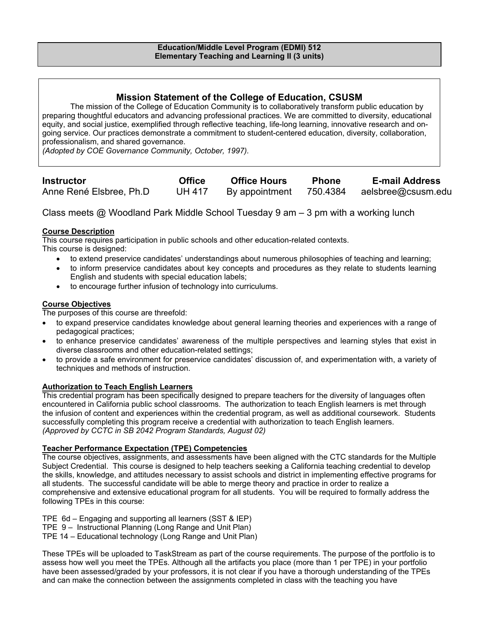# **Mission Statement of the College of Education, CSUSM**

The mission of the College of Education Community is to collaboratively transform public education by preparing thoughtful educators and advancing professional practices. We are committed to diversity, educational equity, and social justice, exemplified through reflective teaching, life-long learning, innovative research and ongoing service. Our practices demonstrate a commitment to student-centered education, diversity, collaboration, professionalism, and shared governance.

*(Adopted by COE Governance Community, October, 1997).* 

| <b>Instructor</b>       | <b>Office</b> | <b>Office Hours</b> | <b>Phone</b> | <b>E-mail Address</b> |
|-------------------------|---------------|---------------------|--------------|-----------------------|
| Anne René Elsbree, Ph.D | <b>UH 417</b> | By appointment      | 750.4384     | aelsbree@csusm.edu    |

Class meets @ Woodland Park Middle School Tuesday 9 am – 3 pm with a working lunch

# **Course Description**

This course requires participation in public schools and other education-related contexts.

This course is designed:

- to extend preservice candidates' understandings about numerous philosophies of teaching and learning;
- to inform preservice candidates about key concepts and procedures as they relate to students learning English and students with special education labels;
- to encourage further infusion of technology into curriculums.

### **Course Objectives**

The purposes of this course are threefold:

- to expand preservice candidates knowledge about general learning theories and experiences with a range of pedagogical practices;
- to enhance preservice candidates' awareness of the multiple perspectives and learning styles that exist in diverse classrooms and other education-related settings;
- to provide a safe environment for preservice candidates' discussion of, and experimentation with, a variety of techniques and methods of instruction.

# **Authorization to Teach English Learners**

This credential program has been specifically designed to prepare teachers for the diversity of languages often encountered in California public school classrooms. The authorization to teach English learners is met through the infusion of content and experiences within the credential program, as well as additional coursework. Students successfully completing this program receive a credential with authorization to teach English learners. *(Approved by CCTC in SB 2042 Program Standards, August 02)*

### **Teacher Performance Expectation (TPE) Competencies**

The course objectives, assignments, and assessments have been aligned with the CTC standards for the Multiple Subject Credential. This course is designed to help teachers seeking a California teaching credential to develop the skills, knowledge, and attitudes necessary to assist schools and district in implementing effective programs for all students. The successful candidate will be able to merge theory and practice in order to realize a comprehensive and extensive educational program for all students. You will be required to formally address the following TPEs in this course:

TPE 6d – Engaging and supporting all learners (SST & IEP)

TPE 9 – Instructional Planning (Long Range and Unit Plan)

TPE 14 – Educational technology (Long Range and Unit Plan)

These TPEs will be uploaded to TaskStream as part of the course requirements. The purpose of the portfolio is to assess how well you meet the TPEs. Although all the artifacts you place (more than 1 per TPE) in your portfolio have been assessed/graded by your professors, it is not clear if you have a thorough understanding of the TPEs and can make the connection between the assignments completed in class with the teaching you have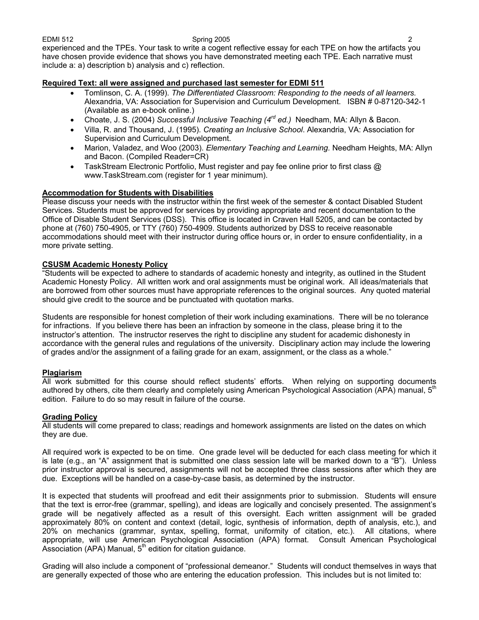EDMI 512 Spring 2005 2 experienced and the TPEs. Your task to write a cogent reflective essay for each TPE on how the artifacts you have chosen provide evidence that shows you have demonstrated meeting each TPE. Each narrative must include a: a) description b) analysis and c) reflection.

## **Required Text: all were assigned and purchased last semester for EDMI 511**

- Tomlinson, C. A. (1999). *The Differentiated Classroom: Responding to the needs of all learners.*  Alexandria, VA: Association for Supervision and Curriculum Development. ISBN # 0-87120-342-1 (Available as an e-book online.)
- Choate, J. S. (2004) *Successful Inclusive Teaching (4rd ed.)* Needham, MA: Allyn & Bacon.
- Villa, R. and Thousand, J. (1995). *Creating an Inclusive School*. Alexandria, VA: Association for Supervision and Curriculum Development.
- Marion, Valadez, and Woo (2003). *Elementary Teaching and Learning.* Needham Heights, MA: Allyn and Bacon. (Compiled Reader=CR)
- TaskStream Electronic Portfolio, Must register and pay fee online prior to first class @ www.TaskStream.com (register for 1 year minimum).

### **Accommodation for Students with Disabilities**

Please discuss your needs with the instructor within the first week of the semester & contact Disabled Student Services. Students must be approved for services by providing appropriate and recent documentation to the Office of Disable Student Services (DSS). This office is located in Craven Hall 5205, and can be contacted by phone at (760) 750-4905, or TTY (760) 750-4909. Students authorized by DSS to receive reasonable accommodations should meet with their instructor during office hours or, in order to ensure confidentiality, in a more private setting.

### **CSUSM Academic Honesty Policy**

"Students will be expected to adhere to standards of academic honesty and integrity, as outlined in the Student Academic Honesty Policy. All written work and oral assignments must be original work. All ideas/materials that are borrowed from other sources must have appropriate references to the original sources. Any quoted material should give credit to the source and be punctuated with quotation marks.

Students are responsible for honest completion of their work including examinations. There will be no tolerance for infractions. If you believe there has been an infraction by someone in the class, please bring it to the instructor's attention. The instructor reserves the right to discipline any student for academic dishonesty in accordance with the general rules and regulations of the university. Disciplinary action may include the lowering of grades and/or the assignment of a failing grade for an exam, assignment, or the class as a whole."

### **Plagiarism**

All work submitted for this course should reflect students' efforts. When relying on supporting documents authored by others, cite them clearly and completely using American Psychological Association (APA) manual, 5<sup>th</sup> edition. Failure to do so may result in failure of the course.

### **Grading Policy**

All students will come prepared to class; readings and homework assignments are listed on the dates on which they are due.

All required work is expected to be on time. One grade level will be deducted for each class meeting for which it is late (e.g., an "A" assignment that is submitted one class session late will be marked down to a "B"). Unless prior instructor approval is secured, assignments will not be accepted three class sessions after which they are due. Exceptions will be handled on a case-by-case basis, as determined by the instructor.

It is expected that students will proofread and edit their assignments prior to submission. Students will ensure that the text is error-free (grammar, spelling), and ideas are logically and concisely presented. The assignment's grade will be negatively affected as a result of this oversight. Each written assignment will be graded approximately 80% on content and context (detail, logic, synthesis of information, depth of analysis, etc.), and 20% on mechanics (grammar, syntax, spelling, format, uniformity of citation, etc.). All citations, where appropriate, will use American Psychological Association (APA) format. Consult American Psychological Association (APA) Manual,  $5<sup>th</sup>$  edition for citation guidance.

Grading will also include a component of "professional demeanor." Students will conduct themselves in ways that are generally expected of those who are entering the education profession. This includes but is not limited to: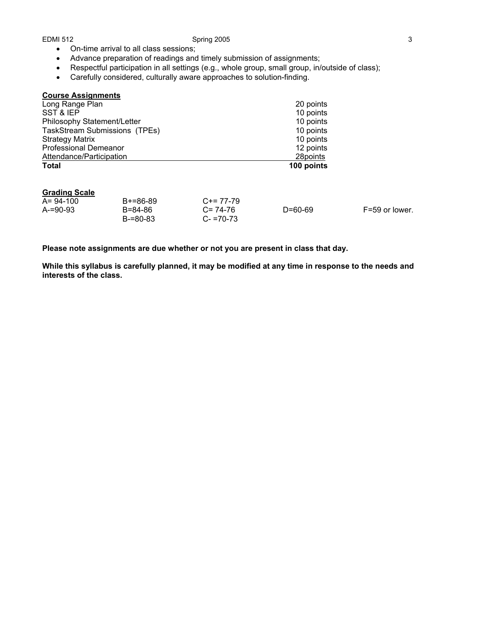### EDMI 512 Spring 2005 3

- On-time arrival to all class sessions;
- Advance preparation of readings and timely submission of assignments;
- Respectful participation in all settings (e.g., whole group, small group, in/outside of class);
- Carefully considered, culturally aware approaches to solution-finding.

| <b>Course Assignments</b>     |            |
|-------------------------------|------------|
| Long Range Plan               | 20 points  |
| SST & IEP                     | 10 points  |
| Philosophy Statement/Letter   | 10 points  |
| TaskStream Submissions (TPEs) | 10 points  |
| <b>Strategy Matrix</b>        | 10 points  |
| <b>Professional Demeanor</b>  | 12 points  |
| Attendance/Participation      | 28points   |
| <b>Total</b>                  | 100 points |

#### **Grading Scale**

| A= 94-100 | $B+=86-89$ | $C+= 77-79$   |         |                |
|-----------|------------|---------------|---------|----------------|
| A-=90-93  | B=84-86    | $C = 74-76$   | D=60-69 | F=59 or lower. |
|           | B-=80-83   | $C - 70 - 73$ |         |                |

**Please note assignments are due whether or not you are present in class that day.** 

**While this syllabus is carefully planned, it may be modified at any time in response to the needs and interests of the class.**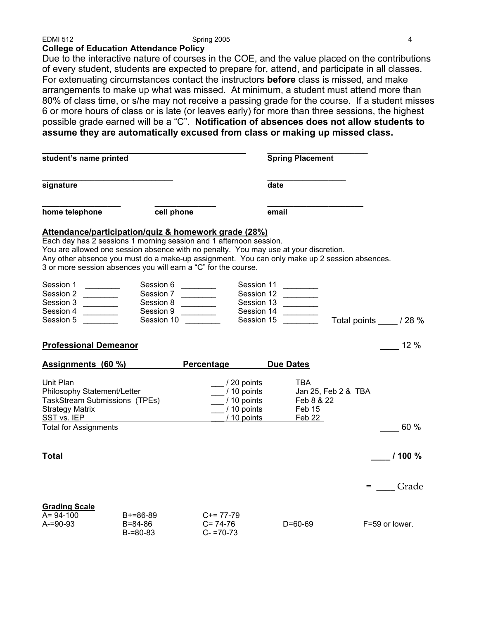# **College of Education Attendance Policy**

Due to the interactive nature of courses in the COE, and the value placed on the contributions of every student, students are expected to prepare for, attend, and participate in all classes. For extenuating circumstances contact the instructors **before** class is missed, and make arrangements to make up what was missed. At minimum, a student must attend more than 80% of class time, or s/he may not receive a passing grade for the course. If a student misses 6 or more hours of class or is late (or leaves early) for more than three sessions, the highest possible grade earned will be a "C". **Notification of absences does not allow students to assume they are automatically excused from class or making up missed class.** 

| student's name printed                                                                              |                                                                                                                                                                                                                                                                                                                                                                                      |                                                                                                                                                                                                                                                                   | <b>Spring Placement</b>                                                                                                                                                                                                              |                     |                     |
|-----------------------------------------------------------------------------------------------------|--------------------------------------------------------------------------------------------------------------------------------------------------------------------------------------------------------------------------------------------------------------------------------------------------------------------------------------------------------------------------------------|-------------------------------------------------------------------------------------------------------------------------------------------------------------------------------------------------------------------------------------------------------------------|--------------------------------------------------------------------------------------------------------------------------------------------------------------------------------------------------------------------------------------|---------------------|---------------------|
| signature                                                                                           |                                                                                                                                                                                                                                                                                                                                                                                      |                                                                                                                                                                                                                                                                   | date                                                                                                                                                                                                                                 |                     |                     |
| home telephone                                                                                      | cell phone                                                                                                                                                                                                                                                                                                                                                                           |                                                                                                                                                                                                                                                                   | email                                                                                                                                                                                                                                |                     |                     |
|                                                                                                     | Attendance/participation/quiz & homework grade (28%)<br>Each day has 2 sessions 1 morning session and 1 afternoon session.<br>You are allowed one session absence with no penalty. You may use at your discretion.<br>Any other absence you must do a make-up assignment. You can only make up 2 session absences.<br>3 or more session absences you will earn a "C" for the course. |                                                                                                                                                                                                                                                                   |                                                                                                                                                                                                                                      |                     |                     |
| Session 1<br>Session 2<br>Session 3<br>Session 4<br>Session 5                                       | Session 6<br>Session 7<br>Session 8<br>Session 9                                                                                                                                                                                                                                                                                                                                     | $\mathcal{L}(\mathcal{L}(\mathcal{L}))$ . The set of $\mathcal{L}(\mathcal{L})$<br>$\begin{array}{c} \begin{array}{c} \begin{array}{c} \begin{array}{c} \end{array} \\ \end{array} \end{array} \end{array} \end{array}$<br>$\overline{\phantom{a}}$<br>Session 10 | Session 11<br>Session 12<br>$\label{eq:2.1} \frac{1}{\sqrt{2\pi}}\left(\frac{1}{\sqrt{2\pi}}\right)^{1/2}\left(\frac{1}{\sqrt{2\pi}}\right)^{1/2}\left(\frac{1}{\sqrt{2\pi}}\right)^{1/2}$<br>Session 13<br>Session 14<br>Session 15 |                     | Total points / 28 % |
| <b>Professional Demeanor</b>                                                                        |                                                                                                                                                                                                                                                                                                                                                                                      |                                                                                                                                                                                                                                                                   |                                                                                                                                                                                                                                      |                     | $-12\%$             |
|                                                                                                     | Assignments (60 %)                                                                                                                                                                                                                                                                                                                                                                   | Percentage                                                                                                                                                                                                                                                        | <b>Due Dates</b>                                                                                                                                                                                                                     |                     |                     |
| Unit Plan<br>Philosophy Statement/Letter<br>TaskStream Submissions (TPEs)<br><b>Strategy Matrix</b> |                                                                                                                                                                                                                                                                                                                                                                                      | / 20 points<br>/ 10 points<br>/ 10 points<br>/ 10 points                                                                                                                                                                                                          | TBA.<br>Feb 8 & 22<br>Feb 15                                                                                                                                                                                                         | Jan 25, Feb 2 & TBA |                     |
| SST vs. IEP<br><b>Total for Assignments</b>                                                         |                                                                                                                                                                                                                                                                                                                                                                                      | / 10 points                                                                                                                                                                                                                                                       | Feb 22                                                                                                                                                                                                                               |                     | 60 %                |
| <b>Total</b>                                                                                        |                                                                                                                                                                                                                                                                                                                                                                                      |                                                                                                                                                                                                                                                                   |                                                                                                                                                                                                                                      |                     | 1100%               |
|                                                                                                     |                                                                                                                                                                                                                                                                                                                                                                                      |                                                                                                                                                                                                                                                                   |                                                                                                                                                                                                                                      |                     | = Grade             |
| <b>Grading Scale</b><br>$A = 94-100$<br>$A = 90 - 93$                                               | $B+=86-89$<br>B=84-86<br>$B = 80 - 83$                                                                                                                                                                                                                                                                                                                                               | $C+= 77-79$<br>$C = 74-76$<br>$C - 70 - 73$                                                                                                                                                                                                                       | $D = 60 - 69$                                                                                                                                                                                                                        |                     | F=59 or lower.      |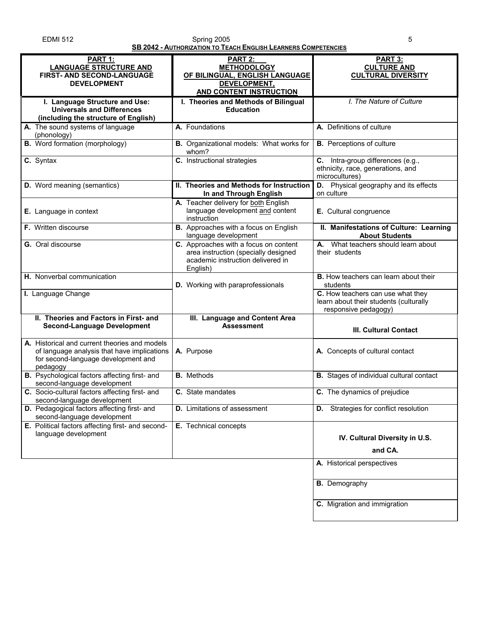| <b>EDMI 512</b> | Spring 2005                                                           |  |
|-----------------|-----------------------------------------------------------------------|--|
|                 | <b>SB 2042 - AUTHORIZATION TO TEACH ENGLISH LEARNERS COMPETENCIES</b> |  |

|                                                                                                                                                 | <u>AUTHONIA HUI LAUTENUEUI ELANIENU UUMI ETENUEU</u>                                                                           |                                                                                                     |
|-------------------------------------------------------------------------------------------------------------------------------------------------|--------------------------------------------------------------------------------------------------------------------------------|-----------------------------------------------------------------------------------------------------|
| <b>PART 1:</b><br><b>LANGUAGE STRUCTURE AND</b><br>FIRST- AND SECOND-LANGUAGE<br><b>DEVELOPMENT</b>                                             | <b>PART 2:</b><br><b>METHODOLOGY</b><br>OF BILINGUAL, ENGLISH LANGUAGE<br>DEVELOPMENT,<br><b>AND CONTENT INSTRUCTION</b>       | PART 3:<br><b>CULTURE AND</b><br><b>CULTURAL DIVERSITY</b>                                          |
| I. Language Structure and Use:<br><b>Universals and Differences</b><br>(including the structure of English)                                     | I. Theories and Methods of Bilingual<br><b>Education</b>                                                                       | I. The Nature of Culture                                                                            |
| A. The sound systems of language<br>(phonology)                                                                                                 | A. Foundations                                                                                                                 | A. Definitions of culture                                                                           |
| <b>B.</b> Word formation (morphology)                                                                                                           | <b>B.</b> Organizational models: What works for<br>whom?                                                                       | <b>B.</b> Perceptions of culture                                                                    |
| $\overline{c}$ . Syntax                                                                                                                         | C. Instructional strategies                                                                                                    | C. Intra-group differences (e.g.,<br>ethnicity, race, generations, and<br>microcultures)            |
| D. Word meaning (semantics)                                                                                                                     | II. Theories and Methods for Instruction<br>In and Through English                                                             | D. Physical geography and its effects<br>on culture                                                 |
| E. Language in context                                                                                                                          | A. Teacher delivery for both English<br>language development and content<br>instruction                                        | E. Cultural congruence                                                                              |
| F. Written discourse                                                                                                                            | <b>B.</b> Approaches with a focus on English<br>language development                                                           | II. Manifestations of Culture: Learning<br><b>About Students</b>                                    |
| G. Oral discourse                                                                                                                               | C. Approaches with a focus on content<br>area instruction (specially designed<br>academic instruction delivered in<br>English) | A. What teachers should learn about<br>their students                                               |
| H. Nonverbal communication                                                                                                                      | D. Working with paraprofessionals                                                                                              | <b>B.</b> How teachers can learn about their<br>students                                            |
| I. Language Change                                                                                                                              |                                                                                                                                | C. How teachers can use what they<br>learn about their students (culturally<br>responsive pedagogy) |
| II. Theories and Factors in First- and<br><b>Second-Language Development</b>                                                                    | III. Language and Content Area<br><b>Assessment</b>                                                                            | <b>III. Cultural Contact</b>                                                                        |
| A. Historical and current theories and models<br>of language analysis that have implications<br>for second-language development and<br>pedagogy | A. Purpose                                                                                                                     | A. Concepts of cultural contact                                                                     |
| B. Psychological factors affecting first- and<br>second-language development                                                                    | <b>B.</b> Methods                                                                                                              | <b>B.</b> Stages of individual cultural contact                                                     |
| C. Socio-cultural factors affecting first- and<br>second-language development                                                                   | C. State mandates                                                                                                              | C. The dynamics of prejudice                                                                        |
| D. Pedagogical factors affecting first- and<br>second-language development                                                                      | <b>D.</b> Limitations of assessment                                                                                            | <b>D.</b> Strategies for conflict resolution                                                        |
| E. Political factors affecting first- and second-<br>language development                                                                       | E. Technical concepts                                                                                                          | IV. Cultural Diversity in U.S.<br>and CA.                                                           |
|                                                                                                                                                 |                                                                                                                                | A. Historical perspectives                                                                          |
|                                                                                                                                                 |                                                                                                                                | <b>B.</b> Demography                                                                                |
|                                                                                                                                                 |                                                                                                                                | C. Migration and immigration                                                                        |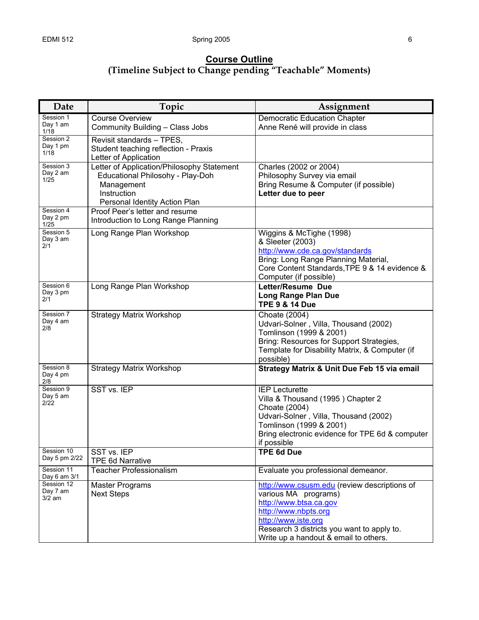# **Course Outline (Timeline Subject to Change pending "Teachable" Moments)**

| Date                                  | Topic                                                                                                                                        | Assignment                                                                                                                                                                                                                           |
|---------------------------------------|----------------------------------------------------------------------------------------------------------------------------------------------|--------------------------------------------------------------------------------------------------------------------------------------------------------------------------------------------------------------------------------------|
| Session 1<br>Day 1 am                 | <b>Course Overview</b><br>Community Building - Class Jobs                                                                                    | Democratic Education Chapter<br>Anne René will provide in class                                                                                                                                                                      |
| 1/18<br>Session 2<br>Day 1 pm<br>1/18 | Revisit standards - TPES,<br>Student teaching reflection - Praxis<br>Letter of Application                                                   |                                                                                                                                                                                                                                      |
| Session 3<br>Day 2 am<br>1/25         | Letter of Application/Philosophy Statement<br>Educational Philosohy - Play-Doh<br>Management<br>Instruction<br>Personal Identity Action Plan | Charles (2002 or 2004)<br>Philosophy Survey via email<br>Bring Resume & Computer (if possible)<br>Letter due to peer                                                                                                                 |
| Session 4<br>Day 2 pm<br>1/25         | Proof Peer's letter and resume<br>Introduction to Long Range Planning                                                                        |                                                                                                                                                                                                                                      |
| Session 5<br>Day 3 am<br>2/1          | Long Range Plan Workshop                                                                                                                     | Wiggins & McTighe (1998)<br>& Sleeter (2003)<br>http://www.cde.ca.gov/standards<br>Bring: Long Range Planning Material,<br>Core Content Standards, TPE 9 & 14 evidence &<br>Computer (if possible)                                   |
| Session 6<br>Day 3 pm<br>2/1          | Long Range Plan Workshop                                                                                                                     | Letter/Resume Due<br><b>Long Range Plan Due</b><br><b>TPE 9 &amp; 14 Due</b>                                                                                                                                                         |
| Session 7<br>Day 4 am<br>2/8          | <b>Strategy Matrix Workshop</b>                                                                                                              | Choate (2004)<br>Udvari-Solner, Villa, Thousand (2002)<br>Tomlinson (1999 & 2001)<br>Bring: Resources for Support Strategies,<br>Template for Disability Matrix, & Computer (if<br>possible)                                         |
| Session 8<br>Day 4 pm<br>2/8          | <b>Strategy Matrix Workshop</b>                                                                                                              | Strategy Matrix & Unit Due Feb 15 via email                                                                                                                                                                                          |
| Session 9<br>Day 5 am<br>2/22         | SST vs. IEP                                                                                                                                  | <b>IEP Lecturette</b><br>Villa & Thousand (1995) Chapter 2<br>Choate (2004)<br>Udvari-Solner, Villa, Thousand (2002)<br>Tomlinson (1999 & 2001)<br>Bring electronic evidence for TPE 6d & computer<br>if possible                    |
| Session 10<br>Day 5 pm 2/22           | SST vs. IEP<br><b>TPE 6d Narrative</b>                                                                                                       | <b>TPE 6d Due</b>                                                                                                                                                                                                                    |
| Session 11<br>Day 6 am 3/1            | <b>Teacher Professionalism</b>                                                                                                               | Evaluate you professional demeanor.                                                                                                                                                                                                  |
| Session 12<br>Day 7 am<br>$3/2$ am    | <b>Master Programs</b><br><b>Next Steps</b>                                                                                                  | http://www.csusm.edu (review descriptions of<br>various MA programs)<br>http://www.btsa.ca.gov<br>http://www.nbpts.org<br>http://www.iste.org<br>Research 3 districts you want to apply to.<br>Write up a handout & email to others. |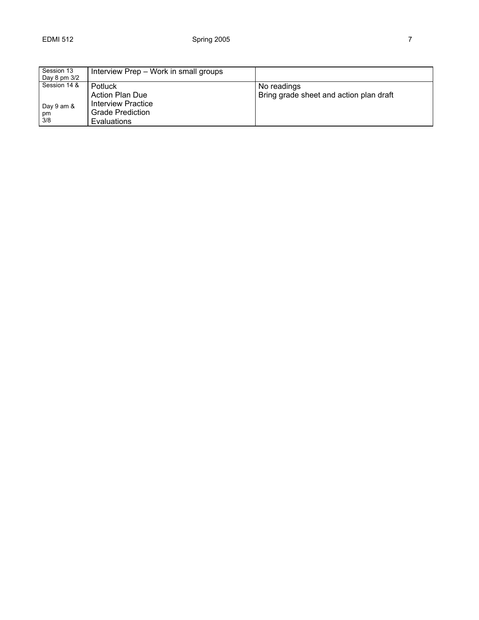| Session 13<br>Day 8 pm 3/2              | Interview Prep - Work in small groups                                                             |                                                        |
|-----------------------------------------|---------------------------------------------------------------------------------------------------|--------------------------------------------------------|
| Session 14 &<br>Day 9 am &<br>pm<br>3/8 | Potluck<br><b>Action Plan Due</b><br>Interview Practice<br>Grade Prediction<br><b>Evaluations</b> | No readings<br>Bring grade sheet and action plan draft |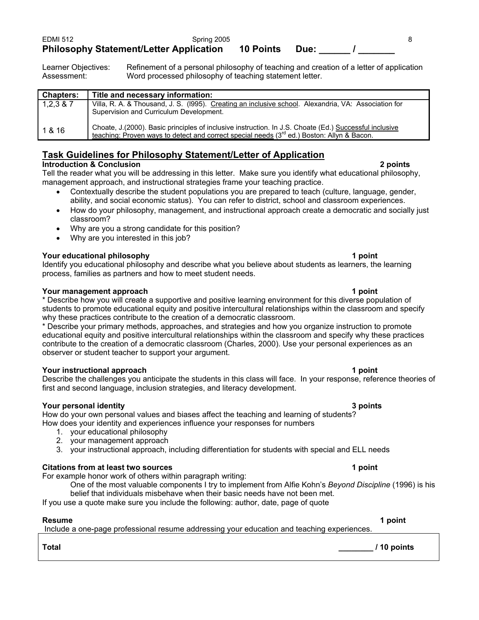| <b>EDMI 512</b> | Spring 2005                                    |                  |      |  |
|-----------------|------------------------------------------------|------------------|------|--|
|                 | <b>Philosophy Statement/Letter Application</b> | <b>10 Points</b> | Due: |  |

Learner Objectives: Refinement of a personal philosophy of teaching and creation of a letter of application Assessment: Word processed philosophy of teaching statement letter.

| Title and necessary information:                                                                        |
|---------------------------------------------------------------------------------------------------------|
|                                                                                                         |
| Villa, R. A. & Thousand, J. S. (1995). Creating an inclusive school. Alexandria, VA: Association for    |
| Supervision and Curriculum Development.                                                                 |
|                                                                                                         |
| Choate, J. (2000). Basic principles of inclusive instruction. In J.S. Choate (Ed.) Successful inclusive |
| teaching: Proven ways to detect and correct special needs (3rd ed.) Boston: Allyn & Bacon.              |
|                                                                                                         |

# **Task Guidelines for Philosophy Statement/Letter of Application**

# **Introduction & Conclusion 2 points**

Tell the reader what you will be addressing in this letter. Make sure you identify what educational philosophy, management approach, and instructional strategies frame your teaching practice.

- Contextually describe the student populations you are prepared to teach (culture, language, gender, ability, and social economic status). You can refer to district, school and classroom experiences.
- How do your philosophy, management, and instructional approach create a democratic and socially just classroom?
- Why are you a strong candidate for this position?
- Why are you interested in this job?

# **Your educational philosophy 1 point**

Identify you educational philosophy and describe what you believe about students as learners, the learning process, families as partners and how to meet student needs.

# **Your management approach 1 point 1 point 1 point 1 point**

\* Describe how you will create a supportive and positive learning environment for this diverse population of students to promote educational equity and positive intercultural relationships within the classroom and specify why these practices contribute to the creation of a democratic classroom.

\* Describe your primary methods, approaches, and strategies and how you organize instruction to promote educational equity and positive intercultural relationships within the classroom and specify why these practices contribute to the creation of a democratic classroom (Charles, 2000). Use your personal experiences as an observer or student teacher to support your argument.

# **Your instructional approach 1 point 1 point 1 point 1 point 1 point 1 point 1 point 1 point 1 point 1 point 1 point 1 point 1 point 1 point 1 point 1 point 1 point 1 point 1 point 1 point 1 point 1 point 1 point 1 point 1**

Describe the challenges you anticipate the students in this class will face. In your response, reference theories of first and second language, inclusion strategies, and literacy development.

# **Your personal identity 3 points**

How do your own personal values and biases affect the teaching and learning of students? How does your identity and experiences influence your responses for numbers

- 1. your educational philosophy
- 2. your management approach
- 3. your instructional approach, including differentiation for students with special and ELL needs

# **Citations from at least two sources 1 point**

For example honor work of others within paragraph writing:

One of the most valuable components I try to implement from Alfie Kohn's *Beyond Discipline* (1996) is his belief that individuals misbehave when their basic needs have not been met.

If you use a quote make sure you include the following: author, date, page of quote

**Resume 1 point**  Include a one-page professional resume addressing your education and teaching experiences.

**Total \_\_\_\_\_\_\_\_ / 10 points**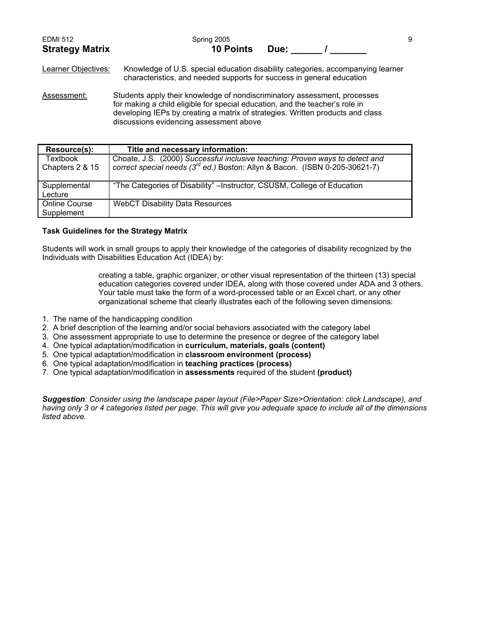| <b>EDMI 512</b>        | Spring 2005      |      |  |
|------------------------|------------------|------|--|
| <b>Strategy Matrix</b> | <b>10 Points</b> | Due: |  |

Learner Objectives: Knowledge of U.S. special education disability categories, accompanying learner characteristics, and needed supports for success in general education

Assessment: Students apply their knowledge of nondiscriminatory assessment, processes for making a child eligible for special education, and the teacher's role in developing IEPs by creating a matrix of strategies. Written products and class discussions evidencing assessment above

| Resource(s):                       | Title and necessary information:                                                                                                                                        |
|------------------------------------|-------------------------------------------------------------------------------------------------------------------------------------------------------------------------|
| Textbook<br>Chapters 2 & 15        | Choate, J.S. (2000) Successful inclusive teaching: Proven ways to detect and<br>correct special needs (3 <sup>rd</sup> ed.) Boston: Allyn & Bacon. (ISBN 0-205-30621-7) |
| Supplemental<br>Lecture            | "The Categories of Disability" – Instructor, CSUSM, College of Education                                                                                                |
| <b>Online Course</b><br>Supplement | <b>WebCT Disability Data Resources</b>                                                                                                                                  |

### **Task Guidelines for the Strategy Matrix**

Students will work in small groups to apply their knowledge of the categories of disability recognized by the Individuals with Disabilities Education Act (IDEA) by:

> creating a table, graphic organizer, or other visual representation of the thirteen (13) special education categories covered under IDEA, along with those covered under ADA and 3 others. Your table must take the form of a word-processed table or an Excel chart, or any other organizational scheme that clearly illustrates each of the following seven dimensions:

- 1. The name of the handicapping condition
- 2. A brief description of the learning and/or social behaviors associated with the category label
- 3. One assessment appropriate to use to determine the presence or degree of the category label
- 4. One typical adaptation/modification in **curriculum, materials, goals (content)**
- 5. One typical adaptation/modification in **classroom environment (process)**
- 6. One typical adaptation/modification in **teaching practices (process)**
- 7. One typical adaptation/modification in **assessments** required of the student **(product)**

*Suggestion: Consider using the landscape paper layout (File>Paper Size>Orientation: click Landscape), and having only 3 or 4 categories listed per page. This will give you adequate space to include all of the dimensions listed above.*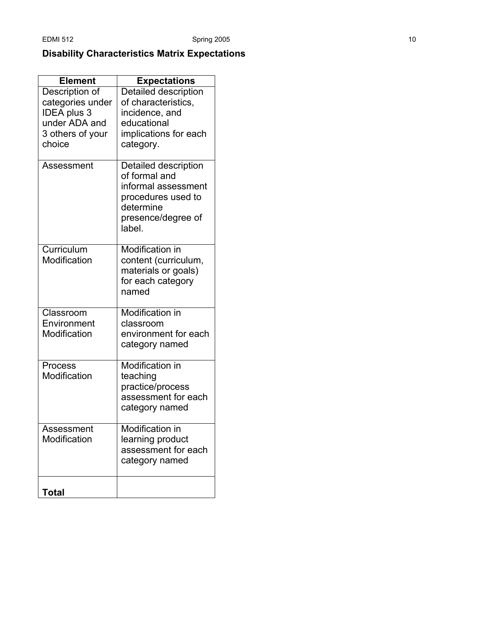# **Disability Characteristics Matrix Expectations**

| <b>Element</b>   | <b>Expectations</b>          |
|------------------|------------------------------|
| Description of   | <b>Detailed description</b>  |
| categories under | of characteristics,          |
| IDEA plus 3      | incidence, and               |
| under ADA and    | educational                  |
| 3 others of your | implications for each        |
| choice           | category.                    |
| Assessment       | Detailed description         |
|                  | of formal and                |
|                  | informal assessment          |
|                  | procedures used to           |
|                  | determine                    |
|                  | presence/degree of<br>label. |
| Curriculum       | Modification in              |
| Modification     | content (curriculum,         |
|                  | materials or goals)          |
|                  | for each category            |
|                  | named                        |
|                  |                              |
| Classroom        | Modification in              |
| Environment      | classroom                    |
| Modification     | environment for each         |
|                  | category named               |
| Process          | <b>Modification in</b>       |
| Modification     | teaching                     |
|                  | practice/process             |
|                  | assessment for each          |
|                  | category named               |
| Assessment       | Modification in              |
| Modification     | learning product             |
|                  | assessment for each          |
|                  | category named               |
|                  |                              |
| <b>Total</b>     |                              |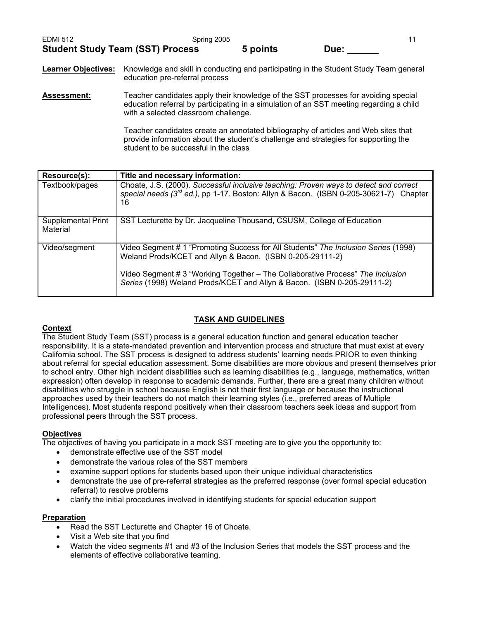| <b>EDMI 512</b>                         | Spring 2005 |          |      |
|-----------------------------------------|-------------|----------|------|
| <b>Student Study Team (SST) Process</b> |             | 5 points | Due: |

# **Learner Objectives:** Knowledge and skill in conducting and participating in the Student Study Team general education pre-referral process

**Assessment:** Teacher candidates apply their knowledge of the SST processes for avoiding special education referral by participating in a simulation of an SST meeting regarding a child with a selected classroom challenge.

> Teacher candidates create an annotated bibliography of articles and Web sites that provide information about the student's challenge and strategies for supporting the student to be successful in the class

| Resource(s):                   | Title and necessary information:                                                                                                                                                                                                                                                                             |
|--------------------------------|--------------------------------------------------------------------------------------------------------------------------------------------------------------------------------------------------------------------------------------------------------------------------------------------------------------|
| Textbook/pages                 | Choate, J.S. (2000). Successful inclusive teaching: Proven ways to detect and correct<br>special needs $(3^{rd}$ ed.), pp 1-17. Boston: Allyn & Bacon. (ISBN 0-205-30621-7) Chapter<br>16                                                                                                                    |
| Supplemental Print<br>Material | SST Lecturette by Dr. Jacqueline Thousand, CSUSM, College of Education                                                                                                                                                                                                                                       |
| Video/segment                  | Video Segment # 1 "Promoting Success for All Students" The Inclusion Series (1998)<br>Weland Prods/KCET and Allyn & Bacon. (ISBN 0-205-29111-2)<br>Video Segment # 3 "Working Together – The Collaborative Process" The Inclusion<br>Series (1998) Weland Prods/KCET and Allyn & Bacon. (ISBN 0-205-29111-2) |

# **TASK AND GUIDELINES**

### **Context**

The Student Study Team (SST) process is a general education function and general education teacher responsibility. It is a state-mandated prevention and intervention process and structure that must exist at every California school. The SST process is designed to address students' learning needs PRIOR to even thinking about referral for special education assessment. Some disabilities are more obvious and present themselves prior to school entry. Other high incident disabilities such as learning disabilities (e.g., language, mathematics, written expression) often develop in response to academic demands. Further, there are a great many children without disabilities who struggle in school because English is not their first language or because the instructional approaches used by their teachers do not match their learning styles (i.e., preferred areas of Multiple Intelligences). Most students respond positively when their classroom teachers seek ideas and support from professional peers through the SST process.

### **Objectives**

The objectives of having you participate in a mock SST meeting are to give you the opportunity to:

- demonstrate effective use of the SST model
- demonstrate the various roles of the SST members
- examine support options for students based upon their unique individual characteristics
- demonstrate the use of pre-referral strategies as the preferred response (over formal special education referral) to resolve problems
- clarify the initial procedures involved in identifying students for special education support

### **Preparation**

- Read the SST Lecturette and Chapter 16 of Choate.
- Visit a Web site that you find
- Watch the video segments #1 and #3 of the Inclusion Series that models the SST process and the elements of effective collaborative teaming.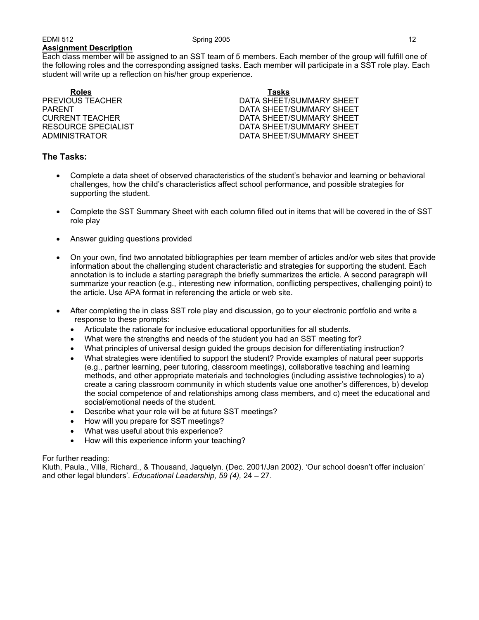Each class member will be assigned to an SST team of 5 members. Each member of the group will fulfill one of the following roles and the corresponding assigned tasks. Each member will participate in a SST role play. Each student will write up a reflection on his/her group experience.

**Roles Tasks**

PREVIOUS TEACHER DATA SHEET/SUMMARY SHEET PARENT PARENT DATA SHEET/SUMMARY SHEET CURRENT TEACHER DATA SHEET/SUMMARY SHEET RESOURCE SPECIALIST **EXECUTE:** THE STATE DATA SHEET/SUMMARY SHEET ADMINISTRATOR DATA SHEET/SUMMARY SHEET

# **The Tasks:**

- Complete a data sheet of observed characteristics of the student's behavior and learning or behavioral challenges, how the child's characteristics affect school performance, and possible strategies for supporting the student.
- Complete the SST Summary Sheet with each column filled out in items that will be covered in the of SST role play
- Answer guiding questions provided
- On your own, find two annotated bibliographies per team member of articles and/or web sites that provide information about the challenging student characteristic and strategies for supporting the student. Each annotation is to include a starting paragraph the briefly summarizes the article. A second paragraph will summarize your reaction (e.g., interesting new information, conflicting perspectives, challenging point) to the article. Use APA format in referencing the article or web site.
- After completing the in class SST role play and discussion, go to your electronic portfolio and write a response to these prompts:
	- Articulate the rationale for inclusive educational opportunities for all students.
	- What were the strengths and needs of the student you had an SST meeting for?
	- What principles of universal design guided the groups decision for differentiating instruction?
	- What strategies were identified to support the student? Provide examples of natural peer supports (e.g., partner learning, peer tutoring, classroom meetings), collaborative teaching and learning methods, and other appropriate materials and technologies (including assistive technologies) to a) create a caring classroom community in which students value one another's differences, b) develop the social competence of and relationships among class members, and c) meet the educational and social/emotional needs of the student.
	- Describe what your role will be at future SST meetings?
	- How will you prepare for SST meetings?
	- What was useful about this experience?
	- How will this experience inform your teaching?

### For further reading:

Kluth, Paula., Villa, Richard., & Thousand, Jaquelyn. (Dec. 2001/Jan 2002). 'Our school doesn't offer inclusion' and other legal blunders'. *Educational Leadership, 59 (4),* 24 – 27.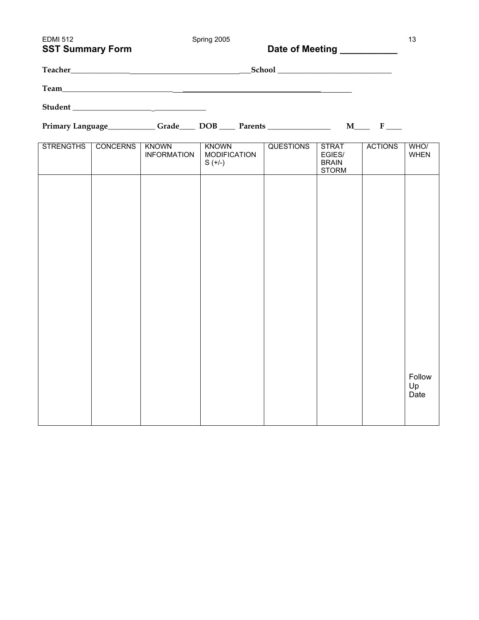| <b>EDMI 512</b><br><b>SST Summary Form</b> |                 |                                    | Spring 2005                                                                                        | Date of Meeting <b>Date of Meeting</b> |                                                        |                | 13                   |
|--------------------------------------------|-----------------|------------------------------------|----------------------------------------------------------------------------------------------------|----------------------------------------|--------------------------------------------------------|----------------|----------------------|
|                                            |                 |                                    |                                                                                                    |                                        |                                                        |                |                      |
|                                            |                 |                                    |                                                                                                    |                                        |                                                        |                |                      |
|                                            |                 |                                    |                                                                                                    |                                        |                                                        |                |                      |
|                                            |                 |                                    | Primary Language ___________Grade _____ DOB _____ Parents _______________________ M_______ F _____ |                                        |                                                        |                |                      |
| STRENGTHS                                  | <b>CONCERNS</b> | <b>KNOWN</b><br><b>INFORMATION</b> | <b>KNOWN</b><br><b>MODIFICATION</b><br>$S (+/-)$                                                   | <b>QUESTIONS</b>                       | <b>STRAT</b><br>EGIES/<br><b>BRAIN</b><br><b>STORM</b> | <b>ACTIONS</b> | WHO/<br><b>WHEN</b>  |
|                                            |                 |                                    |                                                                                                    |                                        |                                                        |                |                      |
|                                            |                 |                                    |                                                                                                    |                                        |                                                        |                |                      |
|                                            |                 |                                    |                                                                                                    |                                        |                                                        |                |                      |
|                                            |                 |                                    |                                                                                                    |                                        |                                                        |                |                      |
|                                            |                 |                                    |                                                                                                    |                                        |                                                        |                |                      |
|                                            |                 |                                    |                                                                                                    |                                        |                                                        |                |                      |
|                                            |                 |                                    |                                                                                                    |                                        |                                                        |                |                      |
|                                            |                 |                                    |                                                                                                    |                                        |                                                        |                |                      |
|                                            |                 |                                    |                                                                                                    |                                        |                                                        |                | Follow<br>Up<br>Date |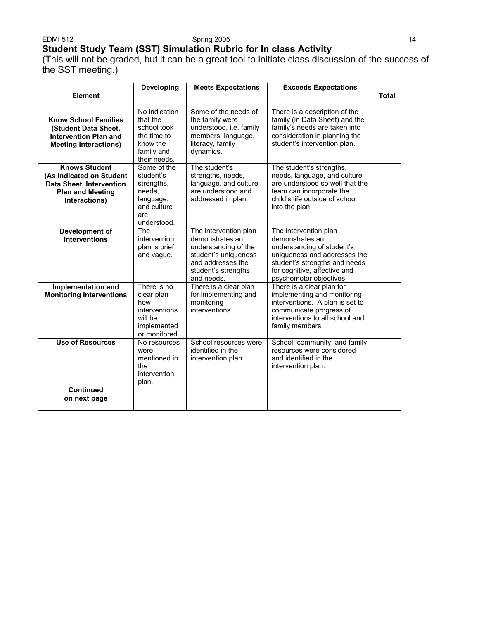#### EDMI 512 Spring 2005 14

# **Student Study Team (SST) Simulation Rubric for In class Activity**

(This will not be graded, but it can be a great tool to initiate class discussion of the success of the SST meeting.)

| <b>Element</b>                                                                                                           | <b>Developing</b>                                                                                  | <b>Meets Expectations</b>                                                                                                                          | <b>Exceeds Expectations</b>                                                                                                                                                                        | <b>Total</b> |
|--------------------------------------------------------------------------------------------------------------------------|----------------------------------------------------------------------------------------------------|----------------------------------------------------------------------------------------------------------------------------------------------------|----------------------------------------------------------------------------------------------------------------------------------------------------------------------------------------------------|--------------|
| <b>Know School Families</b><br>(Student Data Sheet.<br><b>Intervention Plan and</b><br><b>Meeting Interactions)</b>      | No indication<br>that the<br>school took<br>the time to<br>know the<br>family and<br>their needs.  | Some of the needs of<br>the family were<br>understood, i.e. family<br>members, language,<br>literacy, family<br>dynamics.                          | There is a description of the<br>family (in Data Sheet) and the<br>family's needs are taken into<br>consideration in planning the<br>student's intervention plan.                                  |              |
| <b>Knows Student</b><br>(As Indicated on Student<br>Data Sheet, Intervention<br><b>Plan and Meeting</b><br>Interactions) | Some of the<br>student's<br>strengths,<br>needs.<br>language,<br>and culture<br>are<br>understood. | The student's<br>strengths, needs,<br>language, and culture<br>are understood and<br>addressed in plan.                                            | The student's strengths,<br>needs, language, and culture<br>are understood so well that the<br>team can incorporate the<br>child's life outside of school<br>into the plan.                        |              |
| Development of<br><b>Interventions</b>                                                                                   | The<br>intervention<br>plan is brief<br>and vague.                                                 | The intervention plan<br>demonstrates an<br>understanding of the<br>student's uniqueness<br>and addresses the<br>student's strengths<br>and needs. | The intervention plan<br>demonstrates an<br>understanding of student's<br>uniqueness and addresses the<br>student's strengths and needs<br>for cognitive, affective and<br>psychomotor objectives. |              |
| Implementation and<br><b>Monitoring Interventions</b>                                                                    | There is no<br>clear plan<br>how<br>interventions<br>will be<br>implemented<br>or monitored.       | There is a clear plan<br>for implementing and<br>monitoring<br>interventions.                                                                      | There is a clear plan for<br>implementing and monitoring<br>interventions. A plan is set to<br>communicate progress of<br>interventions to all school and<br>family members.                       |              |
| <b>Use of Resources</b>                                                                                                  | No resources<br>were<br>mentioned in<br>the<br>intervention<br>plan.                               | School resources were<br>identified in the<br>intervention plan.                                                                                   | School, community, and family<br>resources were considered<br>and identified in the<br>intervention plan.                                                                                          |              |
| <b>Continued</b><br>on next page                                                                                         |                                                                                                    |                                                                                                                                                    |                                                                                                                                                                                                    |              |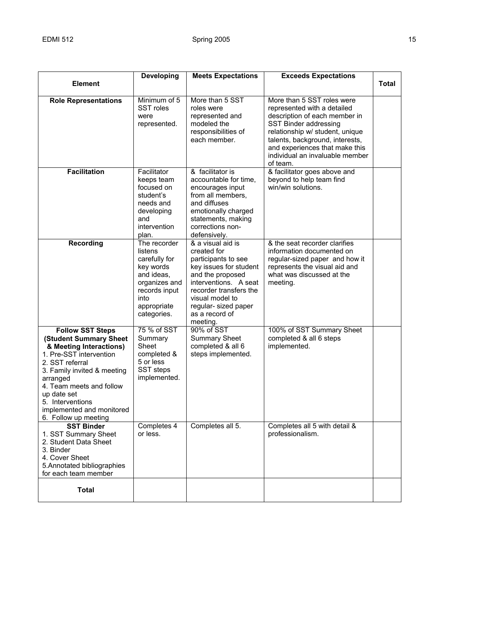|                                                                                                                                                                                                                                                                                           | <b>Developing</b>                                                                                                                           | <b>Meets Expectations</b>                                                                                                                                                                                                         | <b>Exceeds Expectations</b>                                                                                                                                                                                                                                                |              |
|-------------------------------------------------------------------------------------------------------------------------------------------------------------------------------------------------------------------------------------------------------------------------------------------|---------------------------------------------------------------------------------------------------------------------------------------------|-----------------------------------------------------------------------------------------------------------------------------------------------------------------------------------------------------------------------------------|----------------------------------------------------------------------------------------------------------------------------------------------------------------------------------------------------------------------------------------------------------------------------|--------------|
| <b>Element</b>                                                                                                                                                                                                                                                                            |                                                                                                                                             |                                                                                                                                                                                                                                   |                                                                                                                                                                                                                                                                            | <b>Total</b> |
| <b>Role Representations</b>                                                                                                                                                                                                                                                               | Minimum of 5<br>SST roles<br>were<br>represented.                                                                                           | More than 5 SST<br>roles were<br>represented and<br>modeled the<br>responsibilities of<br>each member.                                                                                                                            | More than 5 SST roles were<br>represented with a detailed<br>description of each member in<br>SST Binder addressing<br>relationship w/ student, unique<br>talents, background, interests,<br>and experiences that make this<br>individual an invaluable member<br>of team. |              |
| <b>Facilitation</b>                                                                                                                                                                                                                                                                       | Facilitator<br>keeps team<br>focused on<br>student's<br>needs and<br>developing<br>and<br>intervention<br>plan.                             | & facilitator is<br>accountable for time,<br>encourages input<br>from all members,<br>and diffuses<br>emotionally charged<br>statements, making<br>corrections non-<br>defensively.                                               | & facilitator goes above and<br>beyond to help team find<br>win/win solutions.                                                                                                                                                                                             |              |
| <b>Recording</b>                                                                                                                                                                                                                                                                          | The recorder<br>listens<br>carefully for<br>key words<br>and ideas,<br>organizes and<br>records input<br>into<br>appropriate<br>categories. | & a visual aid is<br>created for<br>participants to see<br>key issues for student<br>and the proposed<br>interventions. A seat<br>recorder transfers the<br>visual model to<br>regular- sized paper<br>as a record of<br>meeting. | & the seat recorder clarifies<br>information documented on<br>regular-sized paper and how it<br>represents the visual aid and<br>what was discussed at the<br>meeting.                                                                                                     |              |
| <b>Follow SST Steps</b><br>(Student Summary Sheet<br>& Meeting Interactions)<br>1. Pre-SST intervention<br>2. SST referral<br>3. Family invited & meeting<br>arranged<br>4. Team meets and follow<br>up date set<br>5. Interventions<br>implemented and monitored<br>6. Follow up meeting | 75 % of SST<br>Summary<br>Sheet<br>completed &<br>5 or less<br>SST steps<br>implemented.                                                    | 90% of SST<br><b>Summary Sheet</b><br>completed & all 6<br>steps implemented.                                                                                                                                                     | 100% of SST Summary Sheet<br>completed & all 6 steps<br>implemented.                                                                                                                                                                                                       |              |
| <b>SST Binder</b><br>1. SST Summary Sheet<br>2. Student Data Sheet<br>3. Binder<br>4. Cover Sheet<br>5. Annotated bibliographies<br>for each team member                                                                                                                                  | Completes 4<br>or less.                                                                                                                     | Completes all 5.                                                                                                                                                                                                                  | Completes all 5 with detail &<br>professionalism.                                                                                                                                                                                                                          |              |
| <b>Total</b>                                                                                                                                                                                                                                                                              |                                                                                                                                             |                                                                                                                                                                                                                                   |                                                                                                                                                                                                                                                                            |              |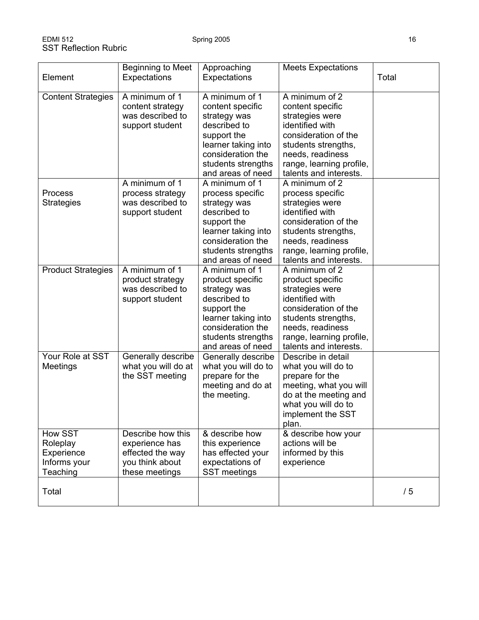| Element                                                       | Beginning to Meet<br>Expectations                                                            | Approaching<br>Expectations                                                                                                                                              | <b>Meets Expectations</b>                                                                                                                                                                         | Total |
|---------------------------------------------------------------|----------------------------------------------------------------------------------------------|--------------------------------------------------------------------------------------------------------------------------------------------------------------------------|---------------------------------------------------------------------------------------------------------------------------------------------------------------------------------------------------|-------|
| <b>Content Strategies</b>                                     | A minimum of 1<br>content strategy<br>was described to<br>support student                    | A minimum of 1<br>content specific<br>strategy was<br>described to<br>support the<br>learner taking into<br>consideration the<br>students strengths<br>and areas of need | A minimum of 2<br>content specific<br>strategies were<br>identified with<br>consideration of the<br>students strengths,<br>needs, readiness<br>range, learning profile,<br>talents and interests. |       |
| Process<br><b>Strategies</b>                                  | A minimum of 1<br>process strategy<br>was described to<br>support student                    | A minimum of 1<br>process specific<br>strategy was<br>described to<br>support the<br>learner taking into<br>consideration the<br>students strengths<br>and areas of need | A minimum of 2<br>process specific<br>strategies were<br>identified with<br>consideration of the<br>students strengths,<br>needs, readiness<br>range, learning profile,<br>talents and interests. |       |
| <b>Product Strategies</b>                                     | A minimum of 1<br>product strategy<br>was described to<br>support student                    | A minimum of 1<br>product specific<br>strategy was<br>described to<br>support the<br>learner taking into<br>consideration the<br>students strengths<br>and areas of need | A minimum of 2<br>product specific<br>strategies were<br>identified with<br>consideration of the<br>students strengths,<br>needs, readiness<br>range, learning profile,<br>talents and interests. |       |
| Your Role at SST<br>Meetings                                  | Generally describe<br>what you will do at<br>the SST meeting                                 | Generally describe<br>what you will do to<br>prepare for the<br>meeting and do at<br>the meeting.                                                                        | Describe in detail<br>what you will do to<br>prepare for the<br>meeting, what you will<br>do at the meeting and<br>what you will do to<br>implement the SST<br>plan.                              |       |
| How SST<br>Roleplay<br>Experience<br>Informs your<br>Teaching | Describe how this<br>experience has<br>effected the way<br>you think about<br>these meetings | & describe how<br>this experience<br>has effected your<br>expectations of<br>SST meetings                                                                                | & describe how your<br>actions will be<br>informed by this<br>experience                                                                                                                          |       |
| Total                                                         |                                                                                              |                                                                                                                                                                          |                                                                                                                                                                                                   | /5    |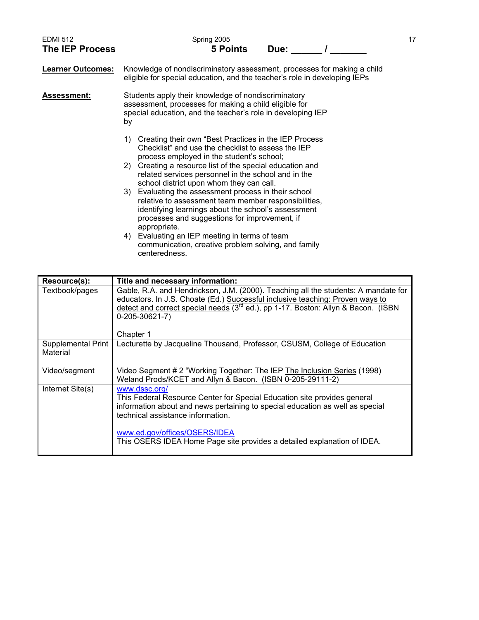| <b>EDMI 512</b><br><b>The IEP Process</b> | Spring 2005<br><b>5 Points</b><br>Due:                                                                                                                                                                                               | 17 |
|-------------------------------------------|--------------------------------------------------------------------------------------------------------------------------------------------------------------------------------------------------------------------------------------|----|
| <b>Learner Outcomes:</b>                  | Knowledge of nondiscriminatory assessment, processes for making a child<br>eligible for special education, and the teacher's role in developing IEPs                                                                                 |    |
| Assessment:                               | Students apply their knowledge of nondiscriminatory<br>assessment, processes for making a child eligible for<br>special education, and the teacher's role in developing IEP<br>by                                                    |    |
|                                           | Creating their own "Best Practices in the IEP Process<br>1)<br>Checklist" and use the checklist to assess the IEP<br>process employed in the student's school;                                                                       |    |
|                                           | 2) Creating a resource list of the special education and<br>related services personnel in the school and in the<br>school district upon whom they can call.                                                                          |    |
|                                           | 3) Evaluating the assessment process in their school<br>relative to assessment team member responsibilities,<br>identifying learnings about the school's assessment<br>processes and suggestions for improvement, if<br>appropriate. |    |
|                                           | 4) Evaluating an IEP meeting in terms of team<br>communication, creative problem solving, and family<br>centeredness.                                                                                                                |    |

| Resource(s):                   | Title and necessary information:                                                                                                                                                                                                                                                                                            |
|--------------------------------|-----------------------------------------------------------------------------------------------------------------------------------------------------------------------------------------------------------------------------------------------------------------------------------------------------------------------------|
| Textbook/pages                 | Gable, R.A. and Hendrickson, J.M. (2000). Teaching all the students: A mandate for<br>educators. In J.S. Choate (Ed.) Successful inclusive teaching: Proven ways to<br>detect and correct special needs (3 <sup>rd</sup> ed.), pp 1-17. Boston: Allyn & Bacon. (ISBN<br>$0 - 205 - 30621 - 7$<br>Chapter 1                  |
| Supplemental Print<br>Material | Lecturette by Jacqueline Thousand, Professor, CSUSM, College of Education                                                                                                                                                                                                                                                   |
| Video/segment                  | Video Segment # 2 "Working Together: The IEP The Inclusion Series (1998)<br>Weland Prods/KCET and Allyn & Bacon. (ISBN 0-205-29111-2)                                                                                                                                                                                       |
| Internet Site(s)               | www.dssc.org/<br>This Federal Resource Center for Special Education site provides general<br>information about and news pertaining to special education as well as special<br>technical assistance information.<br>www.ed.gov/offices/OSERS/IDEA<br>This OSERS IDEA Home Page site provides a detailed explanation of IDEA. |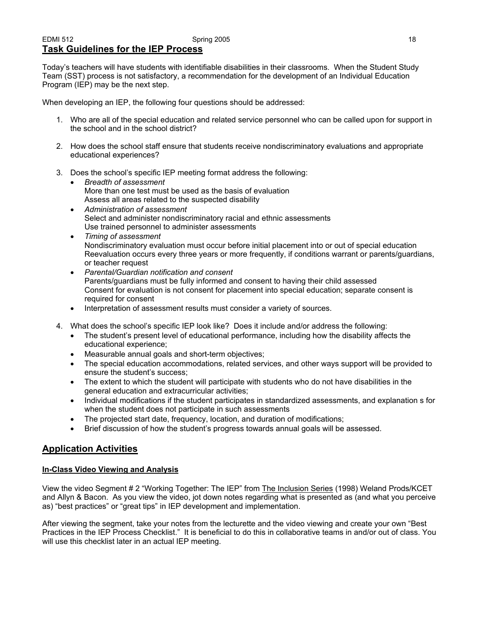# EDMI 512 Spring 2005 18 **Task Guidelines for the IEP Process**

Today's teachers will have students with identifiable disabilities in their classrooms. When the Student Study Team (SST) process is not satisfactory, a recommendation for the development of an Individual Education Program (IEP) may be the next step.

When developing an IEP, the following four questions should be addressed:

- 1. Who are all of the special education and related service personnel who can be called upon for support in the school and in the school district?
- 2. How does the school staff ensure that students receive nondiscriminatory evaluations and appropriate educational experiences?
- 3. Does the school's specific IEP meeting format address the following:
	- *Breadth of assessment*  More than one test must be used as the basis of evaluation Assess all areas related to the suspected disability
	- *Administration of assessment*  Select and administer nondiscriminatory racial and ethnic assessments Use trained personnel to administer assessments
	- *Timing of assessment*  Nondiscriminatory evaluation must occur before initial placement into or out of special education Reevaluation occurs every three years or more frequently, if conditions warrant or parents/guardians, or teacher request
	- *Parental/Guardian notification and consent*  Parents/guardians must be fully informed and consent to having their child assessed Consent for evaluation is not consent for placement into special education; separate consent is required for consent
	- Interpretation of assessment results must consider a variety of sources.
- 4. What does the school's specific IEP look like? Does it include and/or address the following:
	- The student's present level of educational performance, including how the disability affects the educational experience;
	- Measurable annual goals and short-term objectives;
	- The special education accommodations, related services, and other ways support will be provided to ensure the student's success;
	- The extent to which the student will participate with students who do not have disabilities in the general education and extracurricular activities;
	- Individual modifications if the student participates in standardized assessments, and explanation s for when the student does not participate in such assessments
	- The projected start date, frequency, location, and duration of modifications;
	- Brief discussion of how the student's progress towards annual goals will be assessed.

# **Application Activities**

### **In-Class Video Viewing and Analysis**

View the video Segment # 2 "Working Together: The IEP" from The Inclusion Series (1998) Weland Prods/KCET and Allyn & Bacon. As you view the video, jot down notes regarding what is presented as (and what you perceive as) "best practices" or "great tips" in IEP development and implementation.

After viewing the segment, take your notes from the lecturette and the video viewing and create your own "Best Practices in the IEP Process Checklist." It is beneficial to do this in collaborative teams in and/or out of class. You will use this checklist later in an actual IEP meeting.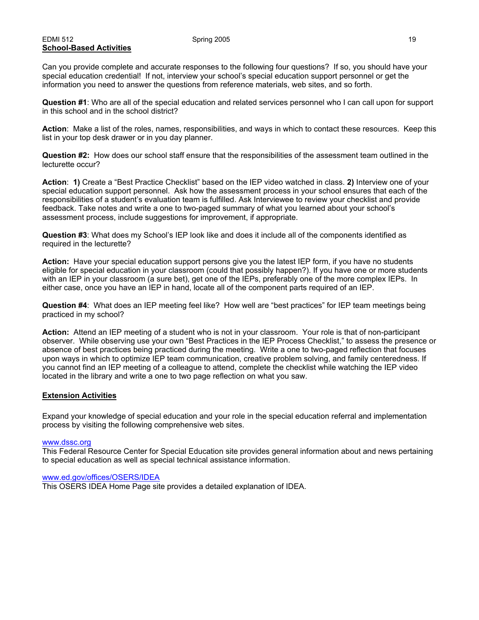#### EDMI 512 Spring 2005 19 **School-Based Activities**

Can you provide complete and accurate responses to the following four questions? If so, you should have your special education credential! If not, interview your school's special education support personnel or get the information you need to answer the questions from reference materials, web sites, and so forth.

**Question #1**: Who are all of the special education and related services personnel who I can call upon for support in this school and in the school district?

**Action**: Make a list of the roles, names, responsibilities, and ways in which to contact these resources. Keep this list in your top desk drawer or in you day planner.

**Question #2:** How does our school staff ensure that the responsibilities of the assessment team outlined in the lecturette occur?

**Action**: **1)** Create a "Best Practice Checklist" based on the IEP video watched in class. **2)** Interview one of your special education support personnel. Ask how the assessment process in your school ensures that each of the responsibilities of a student's evaluation team is fulfilled. Ask Interviewee to review your checklist and provide feedback. Take notes and write a one to two-paged summary of what you learned about your school's assessment process, include suggestions for improvement, if appropriate.

**Question #3**: What does my School's IEP look like and does it include all of the components identified as required in the lecturette?

**Action:** Have your special education support persons give you the latest IEP form, if you have no students eligible for special education in your classroom (could that possibly happen?). If you have one or more students with an IEP in your classroom (a sure bet), get one of the IEPs, preferably one of the more complex IEPs. In either case, once you have an IEP in hand, locate all of the component parts required of an IEP.

**Question #4**: What does an IEP meeting feel like? How well are "best practices" for IEP team meetings being practiced in my school?

**Action:** Attend an IEP meeting of a student who is not in your classroom. Your role is that of non-participant observer. While observing use your own "Best Practices in the IEP Process Checklist," to assess the presence or absence of best practices being practiced during the meeting. Write a one to two-paged reflection that focuses upon ways in which to optimize IEP team communication, creative problem solving, and family centeredness. If you cannot find an IEP meeting of a colleague to attend, complete the checklist while watching the IEP video located in the library and write a one to two page reflection on what you saw.

### **Extension Activities**

Expand your knowledge of special education and your role in the special education referral and implementation process by visiting the following comprehensive web sites.

#### www.dssc.org

This Federal Resource Center for Special Education site provides general information about and news pertaining to special education as well as special technical assistance information.

#### www.ed.gov/offices/OSERS/IDEA

This OSERS IDEA Home Page site provides a detailed explanation of IDEA.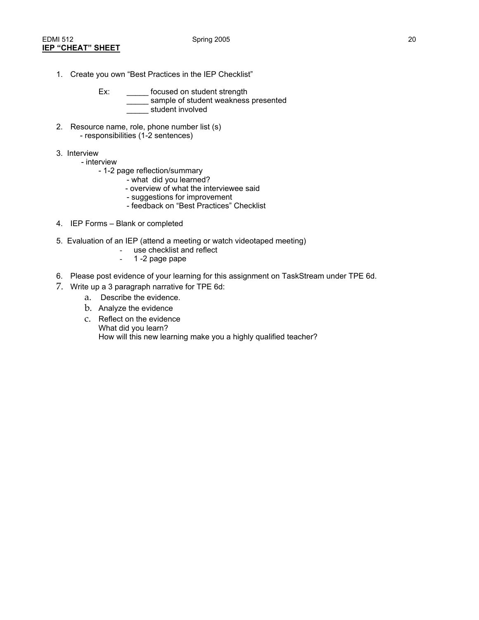- 1. Create you own "Best Practices in the IEP Checklist"
	- Ex: \_\_\_\_\_\_\_ focused on student strength \_\_\_\_\_ sample of student weakness presented \_\_\_\_\_ student involved
- 2. Resource name, role, phone number list (s) - responsibilities (1-2 sentences)
- 3. Interview
	- interview
		- 1-2 page reflection/summary
			- what did you learned?
			- overview of what the interviewee said
			- suggestions for improvement
			- feedback on "Best Practices" Checklist
- 4. IEP Forms Blank or completed
- 5. Evaluation of an IEP (attend a meeting or watch videotaped meeting)
	- use checklist and reflect
	- 1 -2 page pape
- 6. Please post evidence of your learning for this assignment on TaskStream under TPE 6d.
- 7. Write up a 3 paragraph narrative for TPE 6d:
	- a. Describe the evidence.
	- b. Analyze the evidence
	- c. Reflect on the evidence What did you learn? How will this new learning make you a highly qualified teacher?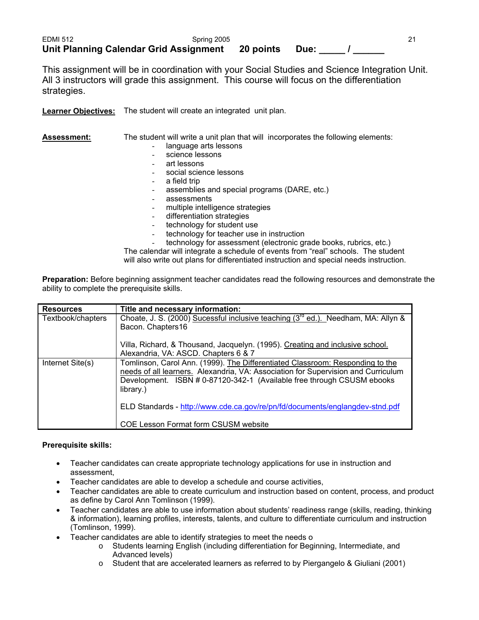| EDMI 512                                      | Spring 2005 |           |      |  |
|-----------------------------------------------|-------------|-----------|------|--|
| <b>Unit Planning Calendar Grid Assignment</b> |             | 20 points | Due: |  |

This assignment will be in coordination with your Social Studies and Science Integration Unit. All 3 instructors will grade this assignment. This course will focus on the differentiation strategies.

**Learner Objectives:** The student will create an integrated unit plan.

| <b>Assessment:</b> | The student will write a unit plan that will incorporates the following elements: |
|--------------------|-----------------------------------------------------------------------------------|
|                    | language arts lessons                                                             |
|                    | science lessons                                                                   |
|                    | art lessons                                                                       |
|                    | social science lessons                                                            |
|                    | a field trip                                                                      |
|                    | assemblies and special programs (DARE, etc.)                                      |
|                    | assessments                                                                       |
|                    | multiple intelligence strategies                                                  |
|                    | differentiation strategies                                                        |
|                    | technology for student use                                                        |
|                    | technology for teacher use in instruction                                         |
|                    | technology for assessment (electronic grade books, rubrics, etc.)                 |
|                    | The calendar will integrate a schedule of events from "real" schools. The student |

The calendar will integrate a schedule of events from "real" schools. The student will also write out plans for differentiated instruction and special needs instruction.

**Preparation:** Before beginning assignment teacher candidates read the following resources and demonstrate the ability to complete the prerequisite skills.

| <b>Resources</b>  | Title and necessary information:                                                                                                                                                                                                                          |
|-------------------|-----------------------------------------------------------------------------------------------------------------------------------------------------------------------------------------------------------------------------------------------------------|
| Textbook/chapters | Choate, J. S. (2000) Sucessful inclusive teaching (3 <sup>rd</sup> ed.). Needham, MA: Allyn &<br>Bacon. Chapters16                                                                                                                                        |
|                   | Villa, Richard, & Thousand, Jacquelyn. (1995). Creating and inclusive school.<br>Alexandria, VA: ASCD. Chapters 6 & 7                                                                                                                                     |
| Internet Site(s)  | Tomlinson, Carol Ann. (1999). The Differentiated Classroom: Responding to the<br>needs of all learners. Alexandria, VA: Association for Supervision and Curriculum<br>Development. ISBN # 0-87120-342-1 (Available free through CSUSM ebooks<br>library.) |
|                   | ELD Standards - http://www.cde.ca.gov/re/pn/fd/documents/englangdev-stnd.pdf                                                                                                                                                                              |
|                   | <b>COE Lesson Format form CSUSM website</b>                                                                                                                                                                                                               |

# **Prerequisite skills:**

- Teacher candidates can create appropriate technology applications for use in instruction and assessment,
- Teacher candidates are able to develop a schedule and course activities,
- Teacher candidates are able to create curriculum and instruction based on content, process, and product as define by Carol Ann Tomlinson (1999).
- Teacher candidates are able to use information about students' readiness range (skills, reading, thinking & information), learning profiles, interests, talents, and culture to differentiate curriculum and instruction (Tomlinson, 1999).
- Teacher candidates are able to identify strategies to meet the needs o
	- o Students learning English (including differentiation for Beginning, Intermediate, and Advanced levels)
	- o Student that are accelerated learners as referred to by Piergangelo & Giuliani (2001)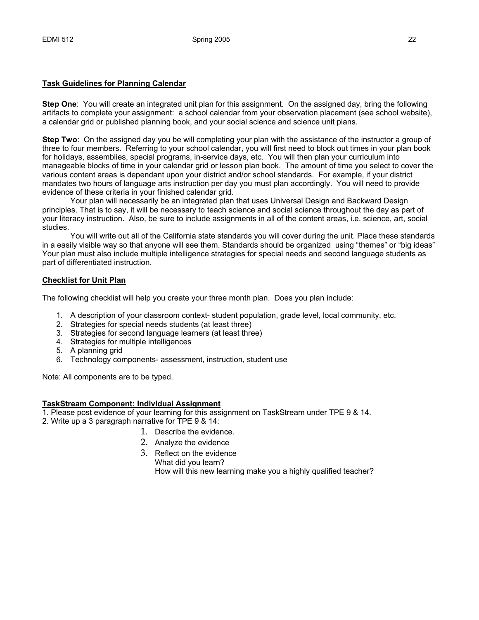### **Task Guidelines for Planning Calendar**

**Step One**: You will create an integrated unit plan for this assignment. On the assigned day, bring the following artifacts to complete your assignment: a school calendar from your observation placement (see school website), a calendar grid or published planning book, and your social science and science unit plans.

**Step Two**: On the assigned day you be will completing your plan with the assistance of the instructor a group of three to four members. Referring to your school calendar, you will first need to block out times in your plan book for holidays, assemblies, special programs, in-service days, etc. You will then plan your curriculum into manageable blocks of time in your calendar grid or lesson plan book. The amount of time you select to cover the various content areas is dependant upon your district and/or school standards. For example, if your district mandates two hours of language arts instruction per day you must plan accordingly. You will need to provide evidence of these criteria in your finished calendar grid.

 Your plan will necessarily be an integrated plan that uses Universal Design and Backward Design principles. That is to say, it will be necessary to teach science and social science throughout the day as part of your literacy instruction. Also, be sure to include assignments in all of the content areas, i.e. science, art, social studies.

 You will write out all of the California state standards you will cover during the unit. Place these standards in a easily visible way so that anyone will see them. Standards should be organized using "themes" or "big ideas" Your plan must also include multiple intelligence strategies for special needs and second language students as part of differentiated instruction.

### **Checklist for Unit Plan**

The following checklist will help you create your three month plan. Does you plan include:

- 1. A description of your classroom context- student population, grade level, local community, etc.
- 2. Strategies for special needs students (at least three)
- 3. Strategies for second language learners (at least three)
- 4. Strategies for multiple intelligences
- 5. A planning grid
- 6. Technology components- assessment, instruction, student use

Note: All components are to be typed.

#### **TaskStream Component: Individual Assignment**

1. Please post evidence of your learning for this assignment on TaskStream under TPE 9 & 14.

- 2. Write up a 3 paragraph narrative for TPE 9 & 14:
	- 1. Describe the evidence.
	- 2. Analyze the evidence
	- 3. Reflect on the evidence What did you learn? How will this new learning make you a highly qualified teacher?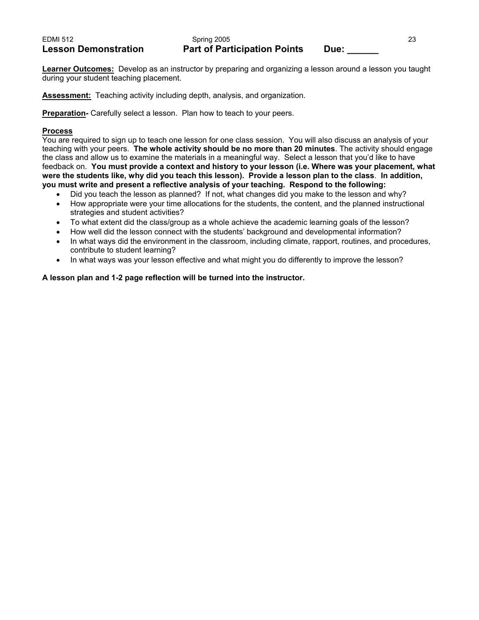**Learner Outcomes:** Develop as an instructor by preparing and organizing a lesson around a lesson you taught during your student teaching placement.

**Assessment:** Teaching activity including depth, analysis, and organization.

**Preparation-** Carefully select a lesson. Plan how to teach to your peers.

### **Process**

You are required to sign up to teach one lesson for one class session. You will also discuss an analysis of your teaching with your peers. **The whole activity should be no more than 20 minutes**. The activity should engage the class and allow us to examine the materials in a meaningful way. Select a lesson that you'd like to have feedback on. **You must provide a context and history to your lesson (i.e. Where was your placement, what were the students like, why did you teach this lesson). Provide a lesson plan to the class**. **In addition, you must write and present a reflective analysis of your teaching. Respond to the following:**

- Did you teach the lesson as planned? If not, what changes did you make to the lesson and why?
- How appropriate were your time allocations for the students, the content, and the planned instructional strategies and student activities?
- To what extent did the class/group as a whole achieve the academic learning goals of the lesson?
- How well did the lesson connect with the students' background and developmental information?
- In what ways did the environment in the classroom, including climate, rapport, routines, and procedures, contribute to student learning?
- In what ways was your lesson effective and what might you do differently to improve the lesson?

# **A lesson plan and 1-2 page reflection will be turned into the instructor.**